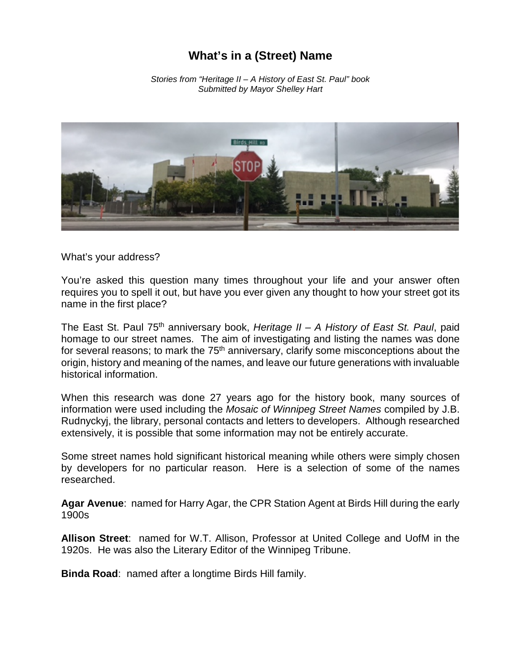## **What's in a (Street) Name**

*Stories from "Heritage II – A History of East St. Paul" book Submitted by Mayor Shelley Hart* 



What's your address?

You're asked this question many times throughout your life and your answer often requires you to spell it out, but have you ever given any thought to how your street got its name in the first place?

The East St. Paul 75th anniversary book, *Heritage II – A History of East St. Paul*, paid homage to our street names. The aim of investigating and listing the names was done for several reasons; to mark the  $75<sup>th</sup>$  anniversary, clarify some misconceptions about the origin, history and meaning of the names, and leave our future generations with invaluable historical information.

When this research was done 27 years ago for the history book, many sources of information were used including the *Mosaic of Winnipeg Street Names* compiled by J.B. Rudnyckyj, the library, personal contacts and letters to developers. Although researched extensively, it is possible that some information may not be entirely accurate.

Some street names hold significant historical meaning while others were simply chosen by developers for no particular reason. Here is a selection of some of the names researched.

**Agar Avenue**: named for Harry Agar, the CPR Station Agent at Birds Hill during the early 1900s

**Allison Street**: named for W.T. Allison, Professor at United College and UofM in the 1920s. He was also the Literary Editor of the Winnipeg Tribune.

**Binda Road**: named after a longtime Birds Hill family.